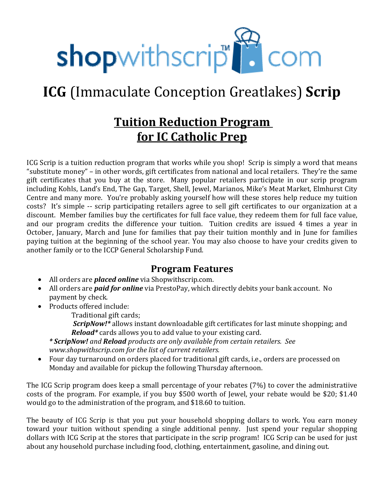

# **ICG** (Immaculate Conception Greatlakes) **Scrip**

# **Tuition Reduction Program for IC Catholic Prep**

ICG Scrip is a tuition reduction program that works while you shop! Scrip is simply a word that means "substitute money" – in other words, gift certificates from national and local retailers. They're the same gift certificates that you buy at the store. Many popular retailers participate in our scrip program including Kohls, Land's End, The Gap, Target, Shell, Jewel, Marianos, Mike's Meat Market, Elmhurst City Centre and many more. You're probably asking yourself how will these stores help reduce my tuition costs? It's simple -- scrip participating retailers agree to sell gift certificates to our organization at a discount. Member families buy the certificates for full face value, they redeem them for full face value, and our program credits the difference your tuition. Tuition credits are issued 4 times a year in October, January, March and June for families that pay their tuition monthly and in June for families paying tuition at the beginning of the school year. You may also choose to have your credits given to another family or to the ICCP General Scholarship Fund.

### **Program Features**

- All orders are *placed online* via Shopwithscrip.com.
- All orders are *paid for online* via PrestoPay, which directly debits your bank account. No payment by check.
- Products offered include:
	- Traditional gift cards;

 *ScripNow!\** allows instant downloadable gift certificates for last minute shopping; and *Reload\** cards allows you to add value to your existing card.

*\* ScripNow! and Reload products are only available from certain retailers. See www.shopwithscrip.com for the list of current retailers.*

 Four day turnaround on orders placed for traditional gift cards, i.e., orders are processed on Monday and available for pickup the following Thursday afternoon.

The ICG Scrip program does keep a small percentage of your rebates (7%) to cover the administratiive costs of the program. For example, if you buy \$500 worth of Jewel, your rebate would be \$20; \$1.40 would go to the administration of the program, and \$18.60 to tuition.

The beauty of ICG Scrip is that you put your household shopping dollars to work. You earn money toward your tuition without spending a single additional penny. Just spend your regular shopping dollars with ICG Scrip at the stores that participate in the scrip program! ICG Scrip can be used for just about any household purchase including food, clothing, entertainment, gasoline, and dining out.